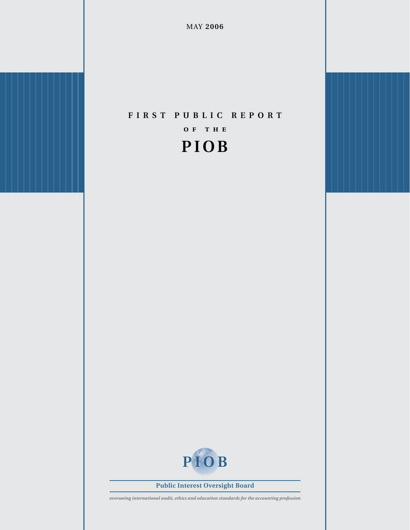MAY **2006**

# **F I R S T P U B L I C R E P O R T o f t h e P I O B**



**Public Interest Oversight Board**

*overseeing international audit, ethics and education standards for the accounting profession*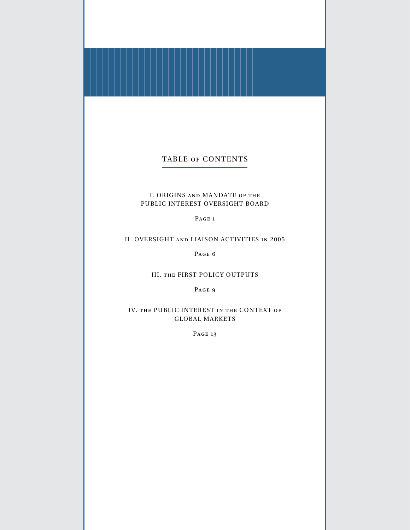# TABLE OF CONTENTS

# I. ORIGINS and MANDATE of the PUBLIC INTEREST OVERSIGHT BOARD

PAGE<sub>1</sub>

# II. OVERSIGHT and LIAISON ACTIVITIES in 2005

Page 6

# III. the FIRST POLICY OUTPUTS

PAGE 9

IV. the PUBLIC INTEREST in the CONTEXT of GLOBAL MARKETS

PAGE 13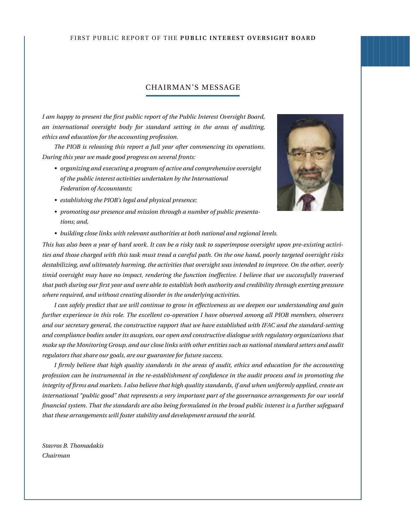#### FIRST PUBLIC REPORT OF THE PUBLIC INTEREST OVERSIGHT BOARD

## CHAIRMAN'S MESSAGE

*I am happy to present the first public report of the Public Interest Oversight Board, an international oversight body for standard setting in the areas of auditing, ethics and education for the accounting profession.* 

*The PIOB is releasing this report a full year after commencing its operations. During this year we made good progress on several fronts:* 

- *organizing and executing a program of active and comprehensive oversight of the public interest activities undertaken by the International Federation of Accountants;*
- *establishing the PIOB's legal and physical presence;*
- *promoting our presence and mission through a number of public presentations; and,*
- *building close links with relevant authorities at both national and regional levels.*

*This has also been a year of hard work. It can be a risky task to superimpose oversight upon pre-existing activities and those charged with this task must tread a careful path. On the one hand, poorly targeted oversight risks destabilizing, and ultimately harming, the activities that oversight was intended to improve. On the other, overly timid oversight may have no impact, rendering the function ineffective. I believe that we successfully traversed that path during our first year and were able to establish both authority and credibility through exerting pressure where required, and without creating disorder in the underlying activities.* 

*I can safely predict that we will continue to grow in effectiveness as we deepen our understanding and gain further experience in this role. The excellent co-operation I have observed among all PIOB members, observers and our secretary general, the constructive rapport that we have established with IFAC and the standard-setting and compliance bodies under its auspices, our open and constructive dialogue with regulatory organizations that make up the Monitoring Group, and our close links with other entities such as national standard setters and audit regulators that share our goals, are our guarantee for future success.* 

*I firmly believe that high quality standards in the areas of audit, ethics and education for the accounting profession can be instrumental in the re-establishment of confidence in the audit process and in promoting the integrity of firms and markets. I also believe that high quality standards, if and when uniformly applied, create an international "public good" that represents a very important part of the governance arrangements for our world financial system. That the standards are also being formulated in the broad public interest is a further safeguard that these arrangements will foster stability and development around the world.*

*Stavros B. Thomadakis Chairman*

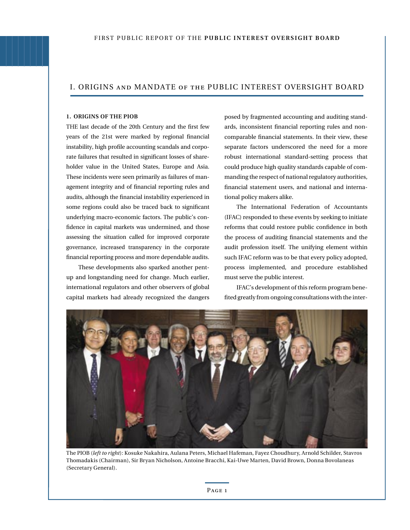# I. ORIGINS and MANDATE of the PUBLIC INTEREST OVERSIGHT BOARD

#### **1. ORIGINS OF THE PIOB**

THE last decade of the 20th Century and the first few years of the 21st were marked by regional financial instability, high profile accounting scandals and corporate failures that resulted in significant losses of shareholder value in the United States, Europe and Asia. These incidents were seen primarily as failures of management integrity and of financial reporting rules and audits, although the financial instability experienced in some regions could also be traced back to significant underlying macro-economic factors. The public's confidence in capital markets was undermined, and those assessing the situation called for improved corporate governance, increased transparency in the corporate financial reporting process and more dependable audits.

 These developments also sparked another pentup and longstanding need for change. Much earlier, international regulators and other observers of global capital markets had already recognized the dangers posed by fragmented accounting and auditing standards, inconsistent financial reporting rules and noncomparable financial statements. In their view, these separate factors underscored the need for a more robust international standard-setting process that could produce high quality standards capable of commanding the respect of national regulatory authorities, financial statement users, and national and international policy makers alike.

 The International Federation of Accountants (IFAC) responded to these events by seeking to initiate reforms that could restore public confidence in both the process of auditing financial statements and the audit profession itself. The unifying element within such IFAC reform was to be that every policy adopted, process implemented, and procedure established must serve the public interest.

 IFAC's development of this reform program benefited greatly from ongoing consultations with the inter-



The PIOB (*left to right*): Kosuke Nakahira, Aulana Peters, Michael Hafeman, Fayez Choudhury, Arnold Schilder, Stavros Thomadakis (Chairman), Sir Bryan Nicholson, Antoine Bracchi, Kai-Uwe Marten, David Brown, Donna Bovolaneas (Secretary General).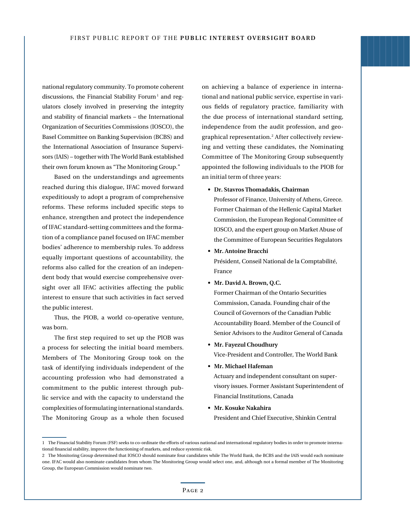national regulatory community. To promote coherent discussions, the Financial Stability Forum<sup>1</sup> and regulators closely involved in preserving the integrity and stability of financial markets – the International Organization of Securities Commissions (IOSCO), the Basel Committee on Banking Supervision (BCBS) and the International Association of Insurance Supervisors (IAIS) – together with The World Bank established their own forum known as "The Monitoring Group."

 Based on the understandings and agreements reached during this dialogue, IFAC moved forward expeditiously to adopt a program of comprehensive reforms. These reforms included specific steps to enhance, strengthen and protect the independence of IFAC standard-setting committees and the formation of a compliance panel focused on IFAC member bodies' adherence to membership rules. To address equally important questions of accountability, the reforms also called for the creation of an independent body that would exercise comprehensive oversight over all IFAC activities affecting the public interest to ensure that such activities in fact served the public interest.

 Thus, the PIOB, a world co-operative venture, was born.

 The first step required to set up the PIOB was a process for selecting the initial board members. Members of The Monitoring Group took on the task of identifying individuals independent of the accounting profession who had demonstrated a commitment to the public interest through public service and with the capacity to understand the complexities of formulating international standards. The Monitoring Group as a whole then focused

on achieving a balance of experience in international and national public service, expertise in various fields of regulatory practice, familiarity with the due process of international standard setting, independence from the audit profession, and geographical representation.2 After collectively reviewing and vetting these candidates, the Nominating Committee of The Monitoring Group subsequently appointed the following individuals to the PIOB for an initial term of three years:

**• Dr. Stavros Thomadakis, Chairman**

Professor of Finance, University of Athens, Greece. Former Chairman of the Hellenic Capital Market Commission, the European Regional Committee of IOSCO, and the expert group on Market Abuse of the Committee of European Securities Regulators

- **Mr. Antoine Bracchi**  Président, Conseil National de la Comptabilité, France
- **Mr. David A. Brown, Q.C.**

Former Chairman of the Ontario Securities Commission, Canada. Founding chair of the Council of Governors of the Canadian Public Accountability Board. Member of the Council of Senior Advisors to the Auditor General of Canada

- **Mr. Fayezul Choudhury** Vice-President and Controller, The World Bank
- **Mr. Michael Hafeman**

Actuary and independent consultant on supervisory issues. Former Assistant Superintendent of Financial Institutions, Canada

**• Mr. Kosuke Nakahira** President and Chief Executive, Shinkin Central

<sup>1</sup> The Financial Stability Forum (FSF) seeks to co-ordinate the efforts of various national and international regulatory bodies in order to promote international financial stability, improve the functioning of markets, and reduce systemic risk.

<sup>2</sup> The Monitoring Group determined that IOSCO should nominate four candidates while The World Bank, the BCBS and the IAIS would each nominate one. IFAC would also nominate candidates from whom The Monitoring Group would select one, and, although not a formal member of The Monitoring Group, the European Commission would nominate two.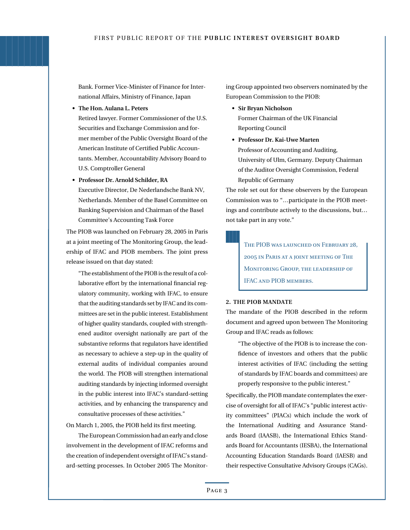Bank. Former Vice-Minister of Finance for International Affairs, Ministry of Finance, Japan

**• The Hon. Aulana L. Peters**

Retired lawyer. Former Commissioner of the U.S. Securities and Exchange Commission and former member of the Public Oversight Board of the American Institute of Certified Public Accountants. Member, Accountability Advisory Board to U.S. Comptroller General

**• Professor Dr. Arnold Schilder, RA**

Executive Director, De Nederlandsche Bank NV, Netherlands. Member of the Basel Committee on Banking Supervision and Chairman of the Basel Committee's Accounting Task Force

The PIOB was launched on February 28, 2005 in Paris at a joint meeting of The Monitoring Group, the leadership of IFAC and PIOB members. The joint press release issued on that day stated:

"The establishment of the PIOB is the result of a collaborative effort by the international financial regulatory community, working with IFAC, to ensure that the auditing standards set by IFAC and its committees are set in the public interest. Establishment of higher quality standards, coupled with strengthened auditor oversight nationally are part of the substantive reforms that regulators have identified as necessary to achieve a step-up in the quality of external audits of individual companies around the world. The PIOB will strengthen international auditing standards by injecting informed oversight in the public interest into IFAC's standard-setting activities, and by enhancing the transparency and consultative processes of these activities."

On March 1, 2005, the PIOB held its first meeting.

 The European Commission had an early and close involvement in the development of IFAC reforms and the creation of independent oversight of IFAC's standard-setting processes. In October 2005 The Monitoring Group appointed two observers nominated by the European Commission to the PIOB:

**• Sir Bryan Nicholson** Former Chairman of the UK Financial

Reporting Council

**• Professor Dr. Kai-Uwe Marten**

Professor of Accounting and Auditing, University of Ulm, Germany. Deputy Chairman of the Auditor Oversight Commission, Federal Republic of Germany

The role set out for these observers by the European Commission was to "…participate in the PIOB meetings and contribute actively to the discussions, but… not take part in any vote."

> The PIOB was launched on February 28, 2005 in Paris at a joint meeting of The MONITORING GROUP, THE LEADERSHIP OF IFAC and PIOB members.

#### **2. THE PIOB MANDATE**

The mandate of the PIOB described in the reform document and agreed upon between The Monitoring Group and IFAC reads as follows:

"The objective of the PIOB is to increase the confidence of investors and others that the public interest activities of IFAC (including the setting of standards by IFAC boards and committees) are properly responsive to the public interest."

Specifically, the PIOB mandate contemplates the exercise of oversight for all of IFAC's "public interest activity committees" (PIACs) which include the work of the International Auditing and Assurance Standards Board (IAASB), the International Ethics Standards Board for Accountants (IESBA), the International Accounting Education Standards Board (IAESB) and their respective Consultative Advisory Groups (CAGs).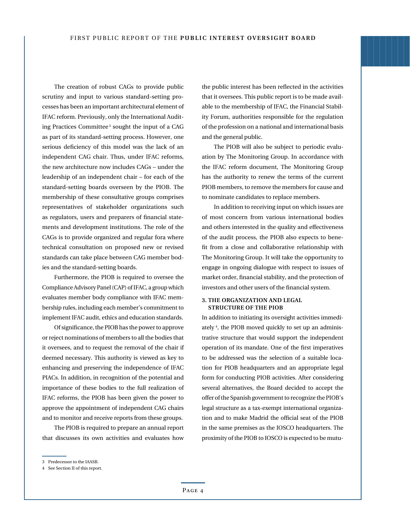The creation of robust CAGs to provide public scrutiny and input to various standard-setting processes has been an important architectural element of IFAC reform. Previously, only the International Auditing Practices Committee<sup>3</sup> sought the input of a CAG as part of its standard-setting process. However, one serious deficiency of this model was the lack of an independent CAG chair. Thus, under IFAC reforms, the new architecture now includes CAGs – under the leadership of an independent chair – for each of the standard-setting boards overseen by the PIOB. The membership of these consultative groups comprises representatives of stakeholder organizations such as regulators, users and preparers of financial statements and development institutions. The role of the CAGs is to provide organized and regular fora where technical consultation on proposed new or revised standards can take place between CAG member bodies and the standard-setting boards.

 Furthermore, the PIOB is required to oversee the Compliance Advisory Panel (CAP) of IFAC, a group which evaluates member body compliance with IFAC membership rules, including each member's commitment to implement IFAC audit, ethics and education standards.

 Of significance, the PIOB has the power to approve or reject nominations of members to all the bodies that it oversees, and to request the removal of the chair if deemed necessary. This authority is viewed as key to enhancing and preserving the independence of IFAC PIACs. In addition, in recognition of the potential and importance of these bodies to the full realization of IFAC reforms, the PIOB has been given the power to approve the appointment of independent CAG chairs and to monitor and receive reports from these groups.

 The PIOB is required to prepare an annual report that discusses its own activities and evaluates how

the public interest has been reflected in the activities that it oversees. This public report is to be made available to the membership of IFAC, the Financial Stability Forum, authorities responsible for the regulation of the profession on a national and international basis and the general public.

 The PIOB will also be subject to periodic evaluation by The Monitoring Group. In accordance with the IFAC reform document, The Monitoring Group has the authority to renew the terms of the current PIOB members, to remove the members for cause and to nominate candidates to replace members.

 In addition to receiving input on which issues are of most concern from various international bodies and others interested in the quality and effectiveness of the audit process, the PIOB also expects to benefit from a close and collaborative relationship with The Monitoring Group. It will take the opportunity to engage in ongoing dialogue with respect to issues of market order, financial stability, and the protection of investors and other users of the financial system.

#### **3. THE ORGANIZATION AND LEGAL STRUCTURE OF THE PIOB**

In addition to initiating its oversight activities immediately 4 , the PIOB moved quickly to set up an administrative structure that would support the independent operation of its mandate. One of the first imperatives to be addressed was the selection of a suitable location for PIOB headquarters and an appropriate legal form for conducting PIOB activities. After considering several alternatives, the Board decided to accept the offer of the Spanish government to recognize the PIOB's legal structure as a tax-exempt international organization and to make Madrid the official seat of the PIOB in the same premises as the IOSCO headquarters. The proximity of the PIOB to IOSCO is expected to be mutu-

<sup>3</sup> Predecessor to the IAASB.

<sup>4</sup> See Section II of this report.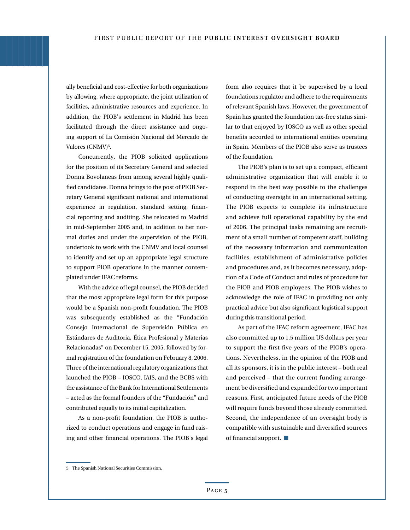ally beneficial and cost-effective for both organizations by allowing, where appropriate, the joint utilization of facilities, administrative resources and experience. In addition, the PIOB's settlement in Madrid has been facilitated through the direct assistance and ongoing support of La Comisión Nacional del Mercado de Valores (CNMV)<sup>5</sup>.

 Concurrently, the PIOB solicited applications for the position of its Secretary General and selected Donna Bovolaneas from among several highly qualified candidates. Donna brings to the post of PIOB Secretary General significant national and international experience in regulation, standard setting, financial reporting and auditing. She relocated to Madrid in mid-September 2005 and, in addition to her normal duties and under the supervision of the PIOB, undertook to work with the CNMV and local counsel to identify and set up an appropriate legal structure to support PIOB operations in the manner contemplated under IFAC reforms.

With the advice of legal counsel, the PIOB decided that the most appropriate legal form for this purpose would be a Spanish non-profit foundation. The PIOB was subsequently established as the "Fundación Consejo Internacional de Supervisión Pública en Estándares de Auditoria, Ética Profesional y Materias Relacionadas" on December 15, 2005, followed by formal registration of the foundation on February 8, 2006. Three of the international regulatory organizations that launched the PIOB – IOSCO, IAIS, and the BCBS with the assistance of the Bank for International Settlements – acted as the formal founders of the "Fundación" and contributed equally to its initial capitalization.

 As a non-profit foundation, the PIOB is authorized to conduct operations and engage in fund raising and other financial operations. The PIOB's legal form also requires that it be supervised by a local foundations regulator and adhere to the requirements of relevant Spanish laws. However, the government of Spain has granted the foundation tax-free status similar to that enjoyed by IOSCO as well as other special benefits accorded to international entities operating in Spain. Members of the PIOB also serve as trustees of the foundation.

 The PIOB's plan is to set up a compact, efficient administrative organization that will enable it to respond in the best way possible to the challenges of conducting oversight in an international setting. The PIOB expects to complete its infrastructure and achieve full operational capability by the end of 2006. The principal tasks remaining are recruitment of a small number of competent staff, building of the necessary information and communication facilities, establishment of administrative policies and procedures and, as it becomes necessary, adoption of a Code of Conduct and rules of procedure for the PIOB and PIOB employees. The PIOB wishes to acknowledge the role of IFAC in providing not only practical advice but also significant logistical support during this transitional period.

 As part of the IFAC reform agreement, IFAC has also committed up to 1.5 million US dollars per year to support the first five years of the PIOB's operations. Nevertheless, in the opinion of the PIOB and all its sponsors, it is in the public interest – both real and perceived – that the current funding arrangement be diversified and expanded for two important reasons. First, anticipated future needs of the PIOB will require funds beyond those already committed. Second, the independence of an oversight body is compatible with sustainable and diversified sources of financial support. ■

PAGE 5

<sup>5</sup> The Spanish National Securities Commission.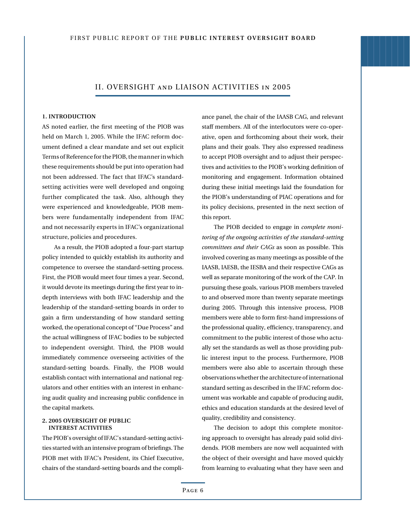# II. OVERSIGHT and LIAISON ACTIVITIES in 2005

#### **1. INTRODUCTION**

AS noted earlier, the first meeting of the PIOB was held on March 1, 2005. While the IFAC reform document defined a clear mandate and set out explicit Terms of Reference for the PIOB, the manner in which these requirements should be put into operation had not been addressed. The fact that IFAC's standardsetting activities were well developed and ongoing further complicated the task. Also, although they were experienced and knowledgeable, PIOB members were fundamentally independent from IFAC and not necessarily experts in IFAC's organizational structure, policies and procedures.

As a result, the PIOB adopted a four-part startup policy intended to quickly establish its authority and competence to oversee the standard-setting process. First, the PIOB would meet four times a year. Second, it would devote its meetings during the first year to indepth interviews with both IFAC leadership and the leadership of the standard-setting boards in order to gain a firm understanding of how standard setting worked, the operational concept of "Due Process" and the actual willingness of IFAC bodies to be subjected to independent oversight. Third, the PIOB would immediately commence overseeing activities of the standard-setting boards. Finally, the PIOB would establish contact with international and national regulators and other entities with an interest in enhancing audit quality and increasing public confidence in the capital markets.

# **2. 2005 OVERSIGHT OF PUBLIC INTEREST ACTIVITIES**

The PIOB's oversight of IFAC's standard-setting activities started with an intensive program of briefings. The PIOB met with IFAC's President, its Chief Executive, chairs of the standard-setting boards and the compliance panel, the chair of the IAASB CAG, and relevant staff members. All of the interlocutors were co-operative, open and forthcoming about their work, their plans and their goals. They also expressed readiness to accept PIOB oversight and to adjust their perspectives and activities to the PIOB's working definition of monitoring and engagement. Information obtained during these initial meetings laid the foundation for the PIOB's understanding of PIAC operations and for its policy decisions, presented in the next section of this report.

 The PIOB decided to engage in *complete monitoring of the ongoing activities of the standard-setting committees and their CAGs* as soon as possible. This involved covering as many meetings as possible of the IAASB, IAESB, the IESBA and their respective CAGs as well as separate monitoring of the work of the CAP. In pursuing these goals, various PIOB members traveled to and observed more than twenty separate meetings during 2005. Through this intensive process, PIOB members were able to form first-hand impressions of the professional quality, efficiency, transparency, and commitment to the public interest of those who actually set the standards as well as those providing public interest input to the process. Furthermore, PIOB members were also able to ascertain through these observations whether the architecture of international standard setting as described in the IFAC reform document was workable and capable of producing audit, ethics and education standards at the desired level of quality, credibility and consistency.

 The decision to adopt this complete monitoring approach to oversight has already paid solid dividends. PIOB members are now well acquainted with the object of their oversight and have moved quickly from learning to evaluating what they have seen and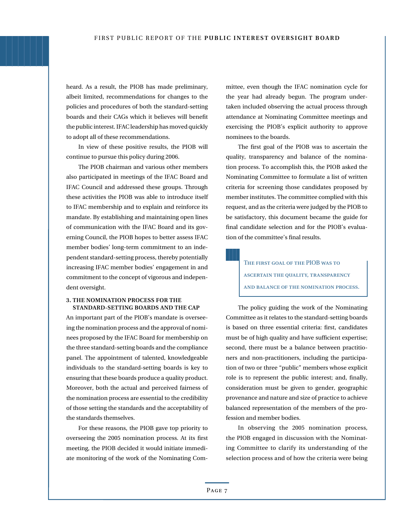heard. As a result, the PIOB has made preliminary, albeit limited, recommendations for changes to the policies and procedures of both the standard-setting boards and their CAGs which it believes will benefit the public interest. IFAC leadership has moved quickly to adopt all of these recommendations.

 In view of these positive results, the PIOB will continue to pursue this policy during 2006.

 The PIOB chairman and various other members also participated in meetings of the IFAC Board and IFAC Council and addressed these groups. Through these activities the PIOB was able to introduce itself to IFAC membership and to explain and reinforce its mandate. By establishing and maintaining open lines of communication with the IFAC Board and its governing Council, the PIOB hopes to better assess IFAC member bodies' long-term commitment to an independent standard-setting process, thereby potentially increasing IFAC member bodies' engagement in and commitment to the concept of vigorous and independent oversight.

#### **3. THE NOMINATION PROCESS FOR THE STANDARD-SETTING BOARDS AND THE CAP**

An important part of the PIOB's mandate is overseeing the nomination process and the approval of nominees proposed by the IFAC Board for membership on the three standard-setting boards and the compliance panel. The appointment of talented, knowledgeable individuals to the standard-setting boards is key to ensuring that these boards produce a quality product. Moreover, both the actual and perceived fairness of the nomination process are essential to the credibility of those setting the standards and the acceptability of the standards themselves.

 For these reasons, the PIOB gave top priority to overseeing the 2005 nomination process. At its first meeting, the PIOB decided it would initiate immediate monitoring of the work of the Nominating Committee, even though the IFAC nomination cycle for the year had already begun. The program undertaken included observing the actual process through attendance at Nominating Committee meetings and exercising the PIOB's explicit authority to approve nominees to the boards.

 The first goal of the PIOB was to ascertain the quality, transparency and balance of the nomination process. To accomplish this, the PIOB asked the Nominating Committee to formulate a list of written criteria for screening those candidates proposed by member institutes. The committee complied with this request, and as the criteria were judged by the PIOB to be satisfactory, this document became the guide for final candidate selection and for the PIOB's evaluation of the committee's final results.

# The first goal of the PIOB was to ascertain the quality, transparency and balance of the nomination process.

 The policy guiding the work of the Nominating Committee as it relates to the standard-setting boards is based on three essential criteria: first, candidates must be of high quality and have sufficient expertise; second, there must be a balance between practitioners and non-practitioners, including the participation of two or three "public" members whose explicit role is to represent the public interest; and, finally, consideration must be given to gender, geographic provenance and nature and size of practice to achieve balanced representation of the members of the profession and member bodies.

 In observing the 2005 nomination process, the PIOB engaged in discussion with the Nominating Committee to clarify its understanding of the selection process and of how the criteria were being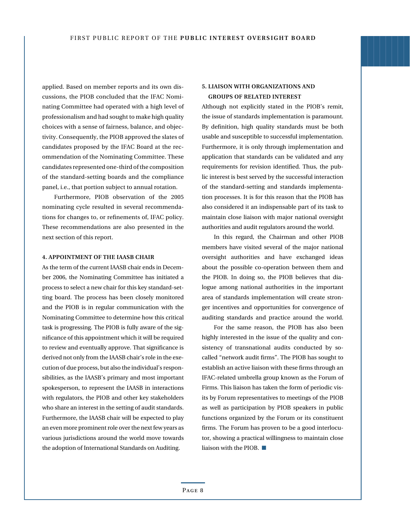applied. Based on member reports and its own discussions, the PIOB concluded that the IFAC Nominating Committee had operated with a high level of professionalism and had sought to make high quality choices with a sense of fairness, balance, and objectivity. Consequently, the PIOB approved the slates of candidates proposed by the IFAC Board at the recommendation of the Nominating Committee. These candidates represented one-third of the composition of the standard-setting boards and the compliance panel, i.e., that portion subject to annual rotation.

 Furthermore, PIOB observation of the 2005 nominating cycle resulted in several recommendations for changes to, or refinements of, IFAC policy. These recommendations are also presented in the next section of this report.

#### **4. APPOINTMENT OF THE IAASB CHAIR**

As the term of the current IAASB chair ends in December 2006, the Nominating Committee has initiated a process to select a new chair for this key standard-setting board. The process has been closely monitored and the PIOB is in regular communication with the Nominating Committee to determine how this critical task is progressing. The PIOB is fully aware of the significance of this appointment which it will be required to review and eventually approve. That significance is derived not only from the IAASB chair's role in the execution of due process, but also the individual's responsibilities, as the IAASB's primary and most important spokesperson, to represent the IAASB in interactions with regulators, the PIOB and other key stakeholders who share an interest in the setting of audit standards. Furthermore, the IAASB chair will be expected to play an even more prominent role over the next few years as various jurisdictions around the world move towards the adoption of International Standards on Auditing.

# **5. LIAISON WITH ORGANIZATIONS AND GROUPS OF RELATED INTEREST**

Although not explicitly stated in the PIOB's remit, the issue of standards implementation is paramount. By definition, high quality standards must be both usable and susceptible to successful implementation. Furthermore, it is only through implementation and application that standards can be validated and any requirements for revision identified. Thus, the public interest is best served by the successful interaction of the standard-setting and standards implementation processes. It is for this reason that the PIOB has also considered it an indispensable part of its task to maintain close liaison with major national oversight authorities and audit regulators around the world.

 In this regard, the Chairman and other PIOB members have visited several of the major national oversight authorities and have exchanged ideas about the possible co-operation between them and the PIOB. In doing so, the PIOB believes that dialogue among national authorities in the important area of standards implementation will create stronger incentives and opportunities for convergence of auditing standards and practice around the world.

For the same reason, the PIOB has also been highly interested in the issue of the quality and consistency of transnational audits conducted by socalled "network audit firms". The PIOB has sought to establish an active liaison with these firms through an IFAC-related umbrella group known as the Forum of Firms. This liaison has taken the form of periodic visits by Forum representatives to meetings of the PIOB as well as participation by PIOB speakers in public functions organized by the Forum or its constituent firms. The Forum has proven to be a good interlocutor, showing a practical willingness to maintain close liaison with the PIOB. ■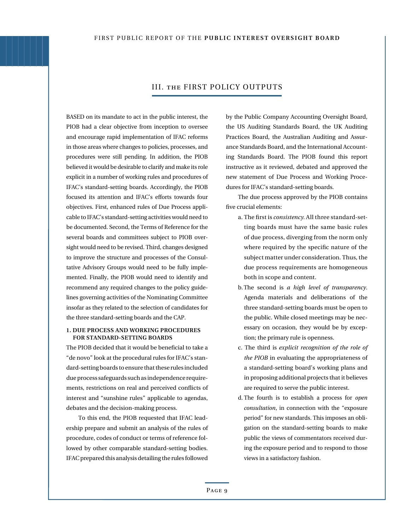# III. the FIRST POLICY OUTPUTS

BASED on its mandate to act in the public interest, the PIOB had a clear objective from inception to oversee and encourage rapid implementation of IFAC reforms in those areas where changes to policies, processes, and procedures were still pending. In addition, the PIOB believed it would be desirable to clarify and make its role explicit in a number of working rules and procedures of IFAC's standard-setting boards. Accordingly, the PIOB focused its attention and IFAC's efforts towards four objectives. First, enhanced rules of Due Process applicable to IFAC's standard-setting activities would need to be documented. Second, the Terms of Reference for the several boards and committees subject to PIOB oversight would need to be revised. Third, changes designed to improve the structure and processes of the Consultative Advisory Groups would need to be fully implemented. Finally, the PIOB would need to identify and recommend any required changes to the policy guidelines governing activities of the Nominating Committee insofar as they related to the selection of candidates for the three standard-setting boards and the CAP.

#### **1. DUE PROCESS AND WORKING PROCEDURES FOR STANDARD-SETTING BOARDS**

The PIOB decided that it would be beneficial to take a "de novo" look at the procedural rules for IFAC's standard-setting boards to ensure that these rules included due process safeguards such as independence requirements, restrictions on real and perceived conflicts of interest and "sunshine rules" applicable to agendas, debates and the decision-making process.

 To this end, the PIOB requested that IFAC leadership prepare and submit an analysis of the rules of procedure, codes of conduct or terms of reference followed by other comparable standard-setting bodies. IFAC prepared this analysis detailing the rules followed by the Public Company Accounting Oversight Board, the US Auditing Standards Board, the UK Auditing Practices Board, the Australian Auditing and Assurance Standards Board, and the International Accounting Standards Board. The PIOB found this report instructive as it reviewed, debated and approved the new statement of Due Process and Working Procedures for IFAC's standard-setting boards.

 The due process approved by the PIOB contains five crucial elements:

- a. The first is *consistency*. All three standard-setting boards must have the same basic rules of due process, diverging from the norm only where required by the specific nature of the subject matter under consideration. Thus, the due process requirements are homogeneous both in scope and content.
- b.The second is *a high level of transparency*. Agenda materials and deliberations of the three standard-setting boards must be open to the public. While closed meetings may be necessary on occasion, they would be by exception; the primary rule is openness.
- c. The third is *explicit recognition of the role of the PIOB* in evaluating the appropriateness of a standard-setting board's working plans and in proposing additional projects that it believes are required to serve the public interest.
- d. The fourth is to establish a process for *open consultation*, in connection with the "exposure period" for new standards. This imposes an obligation on the standard-setting boards to make public the views of commentators received during the exposure period and to respond to those views in a satisfactory fashion.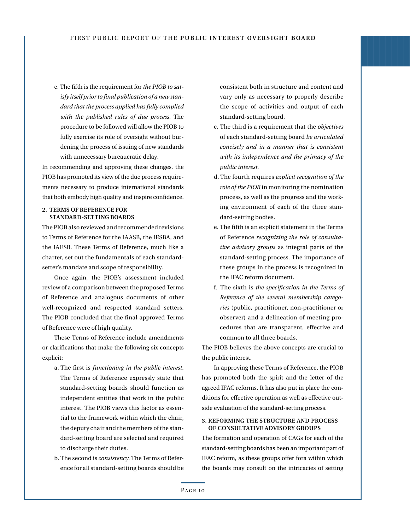e. The fifth is the requirement for *the PIOB to satisfy itself prior to final publication of a new standard that the process applied has fully complied with the published rules of due process*. The procedure to be followed will allow the PIOB to fully exercise its role of oversight without burdening the process of issuing of new standards with unnecessary bureaucratic delay.

In recommending and approving these changes, the PIOB has promoted its view of the due process requirements necessary to produce international standards that both embody high quality and inspire confidence.

## **2. TERMS OF REFERENCE FOR STANDARD-SETTING BOARDS**

The PIOB also reviewed and recommended revisions to Terms of Reference for the IAASB, the IESBA, and the IAESB. These Terms of Reference, much like a charter, set out the fundamentals of each standardsetter's mandate and scope of responsibility.

Once again, the PIOB's assessment included review of a comparison between the proposed Terms of Reference and analogous documents of other well-recognized and respected standard setters. The PIOB concluded that the final approved Terms of Reference were of high quality.

These Terms of Reference include amendments or clarifications that make the following six concepts explicit:

- a. The first is *functioning in the public interest*. The Terms of Reference expressly state that standard-setting boards should function as independent entities that work in the public interest. The PIOB views this factor as essential to the framework within which the chair, the deputy chair and the members of the standard-setting board are selected and required to discharge their duties.
- b. The second is *consistency*. The Terms of Reference for all standard-setting boards should be

consistent both in structure and content and vary only as necessary to properly describe the scope of activities and output of each standard-setting board.

- c. The third is a requirement that the *objectives* of each standard-setting board *be articulated concisely and in a manner that is consistent with its independence and the primacy of the public interest.*
- d. The fourth requires *explicit recognition of the role of the PIOB* in monitoring the nomination process, as well as the progress and the working environment of each of the three standard-setting bodies.
- e. The fifth is an explicit statement in the Terms of Reference *recognizing the role of consultative advisory groups* as integral parts of the standard-setting process. The importance of these groups in the process is recognized in the IFAC reform document.
- f. The sixth is *the specification in the Terms of Reference of the several membership categories* (public, practitioner, non-practitioner or observer) and a delineation of meeting procedures that are transparent, effective and common to all three boards.

The PIOB believes the above concepts are crucial to the public interest.

 In approving these Terms of Reference, the PIOB has promoted both the spirit and the letter of the agreed IFAC reforms. It has also put in place the conditions for effective operation as well as effective outside evaluation of the standard-setting process.

#### **3. REFORMING THE STRUCTURE AND PROCESS OF CONSULTATIVE ADVISORY GROUPS**

The formation and operation of CAGs for each of the standard-setting boards has been an important part of IFAC reform, as these groups offer fora within which the boards may consult on the intricacies of setting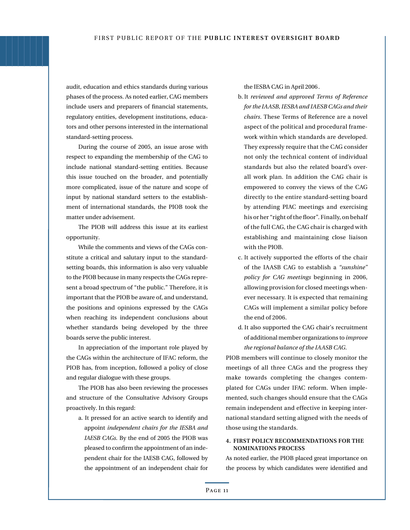audit, education and ethics standards during various phases of the process. As noted earlier, CAG members include users and preparers of financial statements, regulatory entities, development institutions, educators and other persons interested in the international standard-setting process.

 During the course of 2005, an issue arose with respect to expanding the membership of the CAG to include national standard-setting entities. Because this issue touched on the broader, and potentially more complicated, issue of the nature and scope of input by national standard setters to the establishment of international standards, the PIOB took the matter under advisement.

 The PIOB will address this issue at its earliest opportunity.

 While the comments and views of the CAGs constitute a critical and salutary input to the standardsetting boards, this information is also very valuable to the PIOB because in many respects the CAGs represent a broad spectrum of "the public." Therefore, it is important that the PIOB be aware of, and understand, the positions and opinions expressed by the CAGs when reaching its independent conclusions about whether standards being developed by the three boards serve the public interest.

 In appreciation of the important role played by the CAGs within the architecture of IFAC reform, the PIOB has, from inception, followed a policy of close and regular dialogue with these groups.

 The PIOB has also been reviewing the processes and structure of the Consultative Advisory Groups proactively. In this regard:

a. It pressed for an active search to identify and appoint *independent chairs for the IESBA and IAESB CAGs*. By the end of 2005 the PIOB was pleased to confirm the appointment of an independent chair for the IAESB CAG, followed by the appointment of an independent chair for the IESBA CAG in April 2006 .

- b. It *reviewed and approved Terms of Reference for the IAASB, IESBA and IAESB CAGs and their chairs*. These Terms of Reference are a novel aspect of the political and procedural framework within which standards are developed. They expressly require that the CAG consider not only the technical content of individual standards but also the related board's overall work plan. In addition the CAG chair is empowered to convey the views of the CAG directly to the entire standard-setting board by attending PIAC meetings and exercising his or her "right of the floor". Finally, on behalf of the full CAG, the CAG chair is charged with establishing and maintaining close liaison with the PIOB.
- c. It actively supported the efforts of the chair of the IAASB CAG to establish a *"sunshine" policy for CAG meetings* beginning in 2006, allowing provision for closed meetings whenever necessary. It is expected that remaining CAGs will implement a similar policy before the end of 2006.
- d. It also supported the CAG chair's recruitment of additional member organizations to *improve the regional balance of the IAASB CAG*.

PIOB members will continue to closely monitor the meetings of all three CAGs and the progress they make towards completing the changes contemplated for CAGs under IFAC reform. When implemented, such changes should ensure that the CAGs remain independent and effective in keeping international standard setting aligned with the needs of those using the standards.

#### **4. FIRST POLICY RECOMMENDATIONS FOR THE NOMINATIONS PROCESS**

As noted earlier, the PIOB placed great importance on the process by which candidates were identified and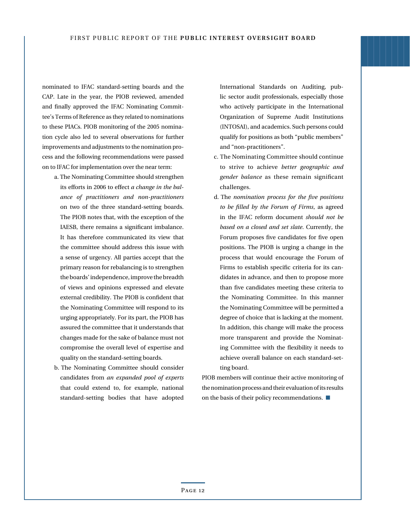nominated to IFAC standard-setting boards and the CAP. Late in the year, the PIOB reviewed, amended and finally approved the IFAC Nominating Committee's Terms of Reference as they related to nominations to these PIACs. PIOB monitoring of the 2005 nomination cycle also led to several observations for further improvements and adjustments to the nomination process and the following recommendations were passed on to IFAC for implementation over the near term:

- a. The Nominating Committee should strengthen its efforts in 2006 to effect *a change in the balance of practitioners and non-practitioners* on two of the three standard-setting boards. The PIOB notes that, with the exception of the IAESB, there remains a significant imbalance. It has therefore communicated its view that the committee should address this issue with a sense of urgency. All parties accept that the primary reason for rebalancing is to strengthen the boards' independence, improve the breadth of views and opinions expressed and elevate external credibility. The PIOB is confident that the Nominating Committee will respond to its urging appropriately. For its part, the PIOB has assured the committee that it understands that changes made for the sake of balance must not compromise the overall level of expertise and quality on the standard-setting boards.
- b. The Nominating Committee should consider candidates from *an expanded pool of experts* that could extend to, for example, national standard-setting bodies that have adopted

International Standards on Auditing, public sector audit professionals, especially those who actively participate in the International Organization of Supreme Audit Institutions (INTOSAI), and academics. Such persons could qualify for positions as both "public members" and "non-practitioners".

- c. The Nominating Committee should continue to strive to achieve *better geographic and gender balance* as these remain significant challenges.
- d. The *nomination process for the five positions to be filled by the Forum of Firms*, as agreed in the IFAC reform document *should not be based on a closed and set slate*. Currently, the Forum proposes five candidates for five open positions. The PIOB is urging a change in the process that would encourage the Forum of Firms to establish specific criteria for its candidates in advance, and then to propose more than five candidates meeting these criteria to the Nominating Committee. In this manner the Nominating Committee will be permitted a degree of choice that is lacking at the moment. In addition, this change will make the process more transparent and provide the Nominating Committee with the flexibility it needs to achieve overall balance on each standard-setting board.

PIOB members will continue their active monitoring of the nomination process and their evaluation of its results on the basis of their policy recommendations. ■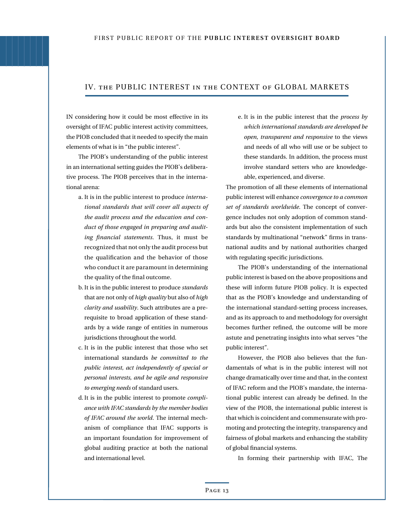#### FIRST PUBLIC REPORT OF THE PUBLIC INTEREST OVERSIGHT BOARD

## IV. the PUBLIC INTEREST in the CONTEXT of GLOBAL MARKETS

IN considering how it could be most effective in its oversight of IFAC public interest activity committees, the PIOB concluded that it needed to specify the main elements of what is in "the public interest".

 The PIOB's understanding of the public interest in an international setting guides the PIOB's deliberative process. The PIOB perceives that in the international arena:

- a. It is in the public interest to produce *international standards that will cover all aspects of the audit process and the education and conduct of those engaged in preparing and auditing financial statements*. Thus, it must be recognized that not only the audit process but the qualification and the behavior of those who conduct it are paramount in determining the quality of the final outcome.
- b. It is in the public interest to produce *standards* that are not only of *high quality* but also of *high clarity and usability*. Such attributes are a prerequisite to broad application of these standards by a wide range of entities in numerous jurisdictions throughout the world.
- c. It is in the public interest that those who set international standards *be committed to the public interest, act independently of special or personal interests, and be agile and responsive to emerging needs* of standard users.
- d. It is in the public interest to promote *compliance with IFAC standards by the member bodies of IFAC around the world*. The internal mechanism of compliance that IFAC supports is an important foundation for improvement of global auditing practice at both the national and international level.

e. It is in the public interest that the *process by which international standards are developed be open, transparent and responsive* to the views and needs of all who will use or be subject to these standards. In addition, the process must involve standard setters who are knowledgeable, experienced, and diverse.

The promotion of all these elements of international public interest will enhance *convergence to a common set of standards worldwide*. The concept of convergence includes not only adoption of common standards but also the consistent implementation of such standards by multinational "network" firms in transnational audits and by national authorities charged with regulating specific jurisdictions.

 The PIOB's understanding of the international public interest is based on the above propositions and these will inform future PIOB policy. It is expected that as the PIOB's knowledge and understanding of the international standard-setting process increases, and as its approach to and methodology for oversight becomes further refined, the outcome will be more astute and penetrating insights into what serves "the public interest".

 However, the PIOB also believes that the fundamentals of what is in the public interest will not change dramatically over time and that, in the context of IFAC reform and the PIOB's mandate, the international public interest can already be defined. In the view of the PIOB, the international public interest is that which is coincident and commensurate with promoting and protecting the integrity, transparency and fairness of global markets and enhancing the stability of global financial systems.

In forming their partnership with IFAC, The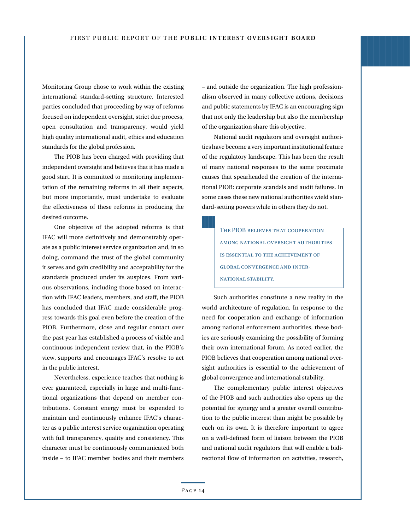Monitoring Group chose to work within the existing international standard-setting structure. Interested parties concluded that proceeding by way of reforms focused on independent oversight, strict due process, open consultation and transparency, would yield high quality international audit, ethics and education standards for the global profession.

 The PIOB has been charged with providing that independent oversight and believes that it has made a good start. It is committed to monitoring implementation of the remaining reforms in all their aspects, but more importantly, must undertake to evaluate the effectiveness of these reforms in producing the desired outcome.

 One objective of the adopted reforms is that IFAC will more definitively and demonstrably operate as a public interest service organization and, in so doing, command the trust of the global community it serves and gain credibility and acceptability for the standards produced under its auspices. From various observations, including those based on interaction with IFAC leaders, members, and staff, the PIOB has concluded that IFAC made considerable progress towards this goal even before the creation of the PIOB. Furthermore, close and regular contact over the past year has established a process of visible and continuous independent review that, in the PIOB's view, supports and encourages IFAC's resolve to act in the public interest.

 Nevertheless, experience teaches that nothing is ever guaranteed, especially in large and multi-functional organizations that depend on member contributions. Constant energy must be expended to maintain and continuously enhance IFAC's character as a public interest service organization operating with full transparency, quality and consistency. This character must be continuously communicated both inside – to IFAC member bodies and their members

– and outside the organization. The high professionalism observed in many collective actions, decisions and public statements by IFAC is an encouraging sign that not only the leadership but also the membership of the organization share this objective.

 National audit regulators and oversight authorities have become a very important institutional feature of the regulatory landscape. This has been the result of many national responses to the same proximate causes that spearheaded the creation of the international PIOB: corporate scandals and audit failures. In some cases these new national authorities wield standard-setting powers while in others they do not.

> The PIOB believes that cooperation among national oversight authorities is essential to the achievement of global convergence and international stability.

 Such authorities constitute a new reality in the world architecture of regulation. In response to the need for cooperation and exchange of information among national enforcement authorities, these bodies are seriously examining the possibility of forming their own international forum. As noted earlier, the PIOB believes that cooperation among national oversight authorities is essential to the achievement of global convergence and international stability.

 The complementary public interest objectives of the PIOB and such authorities also opens up the potential for synergy and a greater overall contribution to the public interest than might be possible by each on its own. It is therefore important to agree on a well-defined form of liaison between the PIOB and national audit regulators that will enable a bidirectional flow of information on activities, research,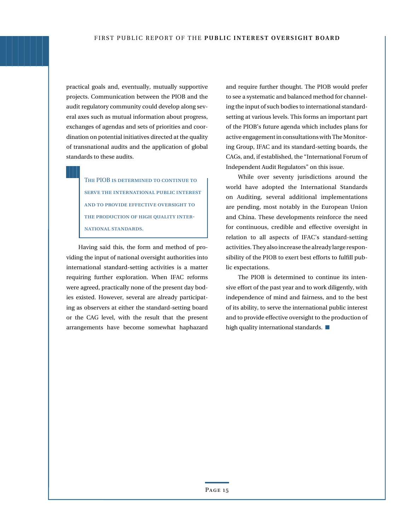practical goals and, eventually, mutually supportive projects. Communication between the PIOB and the audit regulatory community could develop along several axes such as mutual information about progress, exchanges of agendas and sets of priorities and coordination on potential initiatives directed at the quality of transnational audits and the application of global standards to these audits.

> THE PIOB IS DETERMINED TO CONTINUE TO serve the international public interest and to provide effective oversight to the production of high quality international standards.

 Having said this, the form and method of providing the input of national oversight authorities into international standard-setting activities is a matter requiring further exploration. When IFAC reforms were agreed, practically none of the present day bodies existed. However, several are already participating as observers at either the standard-setting board or the CAG level, with the result that the present arrangements have become somewhat haphazard and require further thought. The PIOB would prefer to see a systematic and balanced method for channeling the input of such bodies to international standardsetting at various levels. This forms an important part of the PIOB's future agenda which includes plans for active engagement in consultations with The Monitoring Group, IFAC and its standard-setting boards, the CAGs, and, if established, the "International Forum of Independent Audit Regulators" on this issue.

 While over seventy jurisdictions around the world have adopted the International Standards on Auditing, several additional implementations are pending, most notably in the European Union and China. These developments reinforce the need for continuous, credible and effective oversight in relation to all aspects of IFAC's standard-setting activities. They also increase the already large responsibility of the PIOB to exert best efforts to fulfill public expectations.

 The PIOB is determined to continue its intensive effort of the past year and to work diligently, with independence of mind and fairness, and to the best of its ability, to serve the international public interest and to provide effective oversight to the production of high quality international standards. ■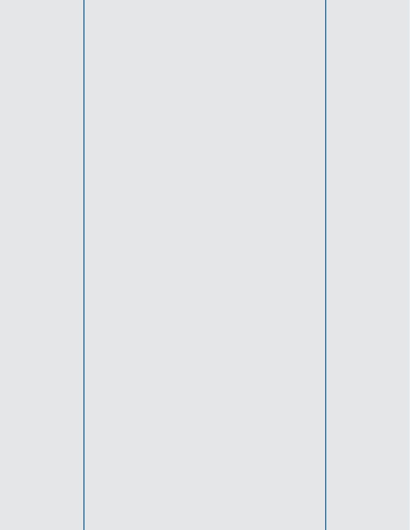